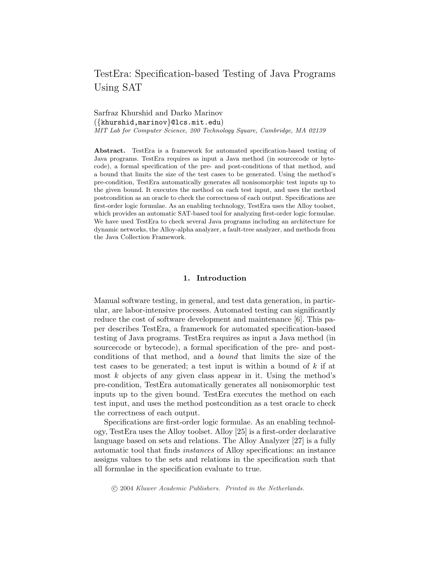# TestEra: Specification-based Testing of Java Programs Using SAT

Sarfraz Khurshid and Darko Marinov ({khurshid,marinov}@lcs.mit.edu) MIT Lab for Computer Science, 200 Technology Square, Cambridge, MA 02139

Abstract. TestEra is a framework for automated specification-based testing of Java programs. TestEra requires as input a Java method (in sourcecode or bytecode), a formal specification of the pre- and post-conditions of that method, and a bound that limits the size of the test cases to be generated. Using the method's pre-condition, TestEra automatically generates all nonisomorphic test inputs up to the given bound. It executes the method on each test input, and uses the method postcondition as an oracle to check the correctness of each output. Specifications are first-order logic formulae. As an enabling technology, TestEra uses the Alloy toolset, which provides an automatic SAT-based tool for analyzing first-order logic formulae. We have used TestEra to check several Java programs including an architecture for dynamic networks, the Alloy-alpha analyzer, a fault-tree analyzer, and methods from the Java Collection Framework.

## 1. Introduction

Manual software testing, in general, and test data generation, in particular, are labor-intensive processes. Automated testing can significantly reduce the cost of software development and maintenance [6]. This paper describes TestEra, a framework for automated specification-based testing of Java programs. TestEra requires as input a Java method (in sourcecode or bytecode), a formal specification of the pre- and postconditions of that method, and a bound that limits the size of the test cases to be generated; a test input is within a bound of k if at most  $k$  objects of any given class appear in it. Using the method's pre-condition, TestEra automatically generates all nonisomorphic test inputs up to the given bound. TestEra executes the method on each test input, and uses the method postcondition as a test oracle to check the correctness of each output.

Specifications are first-order logic formulae. As an enabling technology, TestEra uses the Alloy toolset. Alloy [25] is a first-order declarative language based on sets and relations. The Alloy Analyzer [27] is a fully automatic tool that finds instances of Alloy specifications: an instance assigns values to the sets and relations in the specification such that all formulae in the specification evaluate to true.

°c 2004 Kluwer Academic Publishers. Printed in the Netherlands.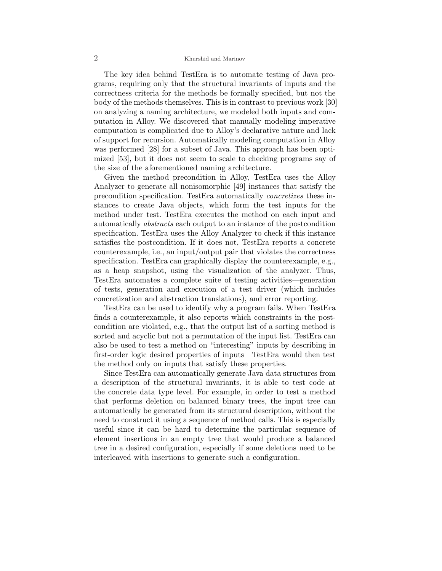The key idea behind TestEra is to automate testing of Java programs, requiring only that the structural invariants of inputs and the correctness criteria for the methods be formally specified, but not the body of the methods themselves. This is in contrast to previous work [30] on analyzing a naming architecture, we modeled both inputs and computation in Alloy. We discovered that manually modeling imperative computation is complicated due to Alloy's declarative nature and lack of support for recursion. Automatically modeling computation in Alloy was performed [28] for a subset of Java. This approach has been optimized [53], but it does not seem to scale to checking programs say of the size of the aforementioned naming architecture.

Given the method precondition in Alloy, TestEra uses the Alloy Analyzer to generate all nonisomorphic [49] instances that satisfy the precondition specification. TestEra automatically concretizes these instances to create Java objects, which form the test inputs for the method under test. TestEra executes the method on each input and automatically abstracts each output to an instance of the postcondition specification. TestEra uses the Alloy Analyzer to check if this instance satisfies the postcondition. If it does not, TestEra reports a concrete counterexample, i.e., an input/output pair that violates the correctness specification. TestEra can graphically display the counterexample, e.g., as a heap snapshot, using the visualization of the analyzer. Thus, TestEra automates a complete suite of testing activities—generation of tests, generation and execution of a test driver (which includes concretization and abstraction translations), and error reporting.

TestEra can be used to identify why a program fails. When TestEra finds a counterexample, it also reports which constraints in the postcondition are violated, e.g., that the output list of a sorting method is sorted and acyclic but not a permutation of the input list. TestEra can also be used to test a method on "interesting" inputs by describing in first-order logic desired properties of inputs—TestEra would then test the method only on inputs that satisfy these properties.

Since TestEra can automatically generate Java data structures from a description of the structural invariants, it is able to test code at the concrete data type level. For example, in order to test a method that performs deletion on balanced binary trees, the input tree can automatically be generated from its structural description, without the need to construct it using a sequence of method calls. This is especially useful since it can be hard to determine the particular sequence of element insertions in an empty tree that would produce a balanced tree in a desired configuration, especially if some deletions need to be interleaved with insertions to generate such a configuration.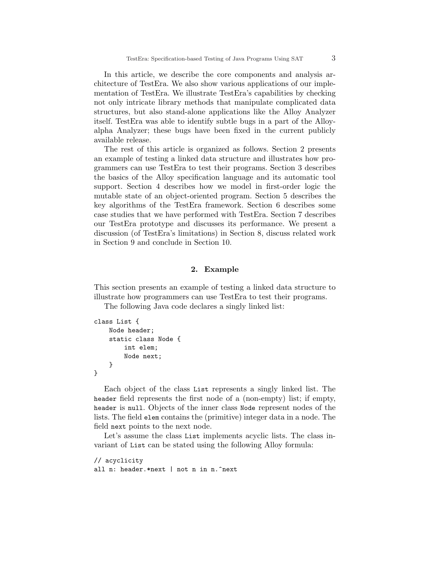In this article, we describe the core components and analysis architecture of TestEra. We also show various applications of our implementation of TestEra. We illustrate TestEra's capabilities by checking not only intricate library methods that manipulate complicated data structures, but also stand-alone applications like the Alloy Analyzer itself. TestEra was able to identify subtle bugs in a part of the Alloyalpha Analyzer; these bugs have been fixed in the current publicly available release.

The rest of this article is organized as follows. Section 2 presents an example of testing a linked data structure and illustrates how programmers can use TestEra to test their programs. Section 3 describes the basics of the Alloy specification language and its automatic tool support. Section 4 describes how we model in first-order logic the mutable state of an object-oriented program. Section 5 describes the key algorithms of the TestEra framework. Section 6 describes some case studies that we have performed with TestEra. Section 7 describes our TestEra prototype and discusses its performance. We present a discussion (of TestEra's limitations) in Section 8, discuss related work in Section 9 and conclude in Section 10.

## 2. Example

This section presents an example of testing a linked data structure to illustrate how programmers can use TestEra to test their programs.

The following Java code declares a singly linked list:

```
class List {
    Node header;
    static class Node {
        int elem;
        Node next;
    }
}
```
Each object of the class List represents a singly linked list. The header field represents the first node of a (non-empty) list; if empty, header is null. Objects of the inner class Node represent nodes of the lists. The field elem contains the (primitive) integer data in a node. The field next points to the next node.

Let's assume the class List implements acyclic lists. The class invariant of List can be stated using the following Alloy formula:

// acyclicity all n: header.\*next | not n in n.^next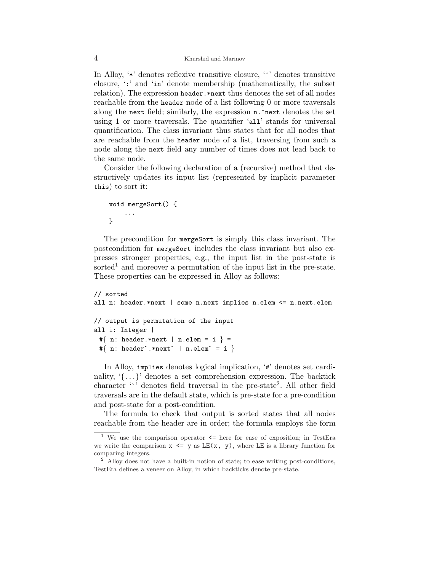In Alloy, '\*' denotes reflexive transitive closure, '<sup>\*</sup>' denotes transitive closure, ':' and 'in' denote membership (mathematically, the subset relation). The expression header.\*next thus denotes the set of all nodes reachable from the header node of a list following 0 or more traversals along the next field; similarly, the expression n.^next denotes the set using 1 or more traversals. The quantifier 'all' stands for universal quantification. The class invariant thus states that for all nodes that are reachable from the header node of a list, traversing from such a node along the next field any number of times does not lead back to the same node.

Consider the following declaration of a (recursive) method that destructively updates its input list (represented by implicit parameter this) to sort it:

```
void mergeSort() {
    ...
}
```
The precondition for mergeSort is simply this class invariant. The postcondition for mergeSort includes the class invariant but also expresses stronger properties, e.g., the input list in the post-state is sorted<sup>1</sup> and moreover a permutation of the input list in the pre-state. These properties can be expressed in Alloy as follows:

```
// sorted
all n: header.*next | some n.next implies n.elem <= n.next.elem
// output is permutation of the input
all i: Integer |
 #\{ n: header.*next \mid n.elem = i \} =
 #{ n: header`.*next` | n.elem` = i }
```
In Alloy, implies denotes logical implication, '#' denotes set cardinality, '{...}' denotes a set comprehension expression. The backtick character " denotes field traversal in the pre-state<sup>2</sup>. All other field traversals are in the default state, which is pre-state for a pre-condition and post-state for a post-condition.

The formula to check that output is sorted states that all nodes reachable from the header are in order; the formula employs the form

<sup>&</sup>lt;sup>1</sup> We use the comparison operator  $\leq$  here for ease of exposition; in TestEra we write the comparison  $x \leq y$  as  $LE(x, y)$ , where LE is a library function for comparing integers.

<sup>&</sup>lt;sup>2</sup> Alloy does not have a built-in notion of state; to ease writing post-conditions, TestEra defines a veneer on Alloy, in which backticks denote pre-state.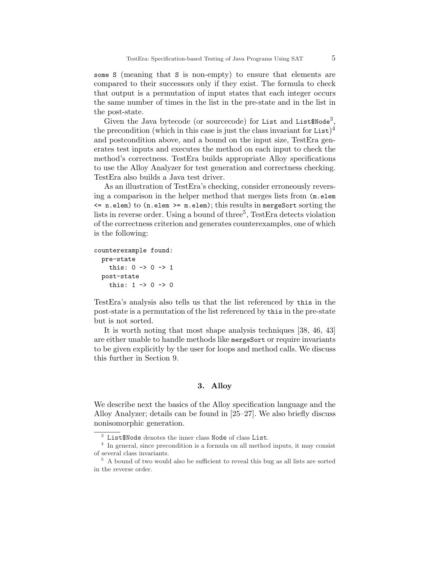some S (meaning that S is non-empty) to ensure that elements are compared to their successors only if they exist. The formula to check that output is a permutation of input states that each integer occurs the same number of times in the list in the pre-state and in the list in the post-state.

Given the Java bytecode (or sourcecode) for List and List\$Node<sup>3</sup>, the precondition (which in this case is just the class invariant for  $List)^4$ and postcondition above, and a bound on the input size, TestEra generates test inputs and executes the method on each input to check the method's correctness. TestEra builds appropriate Alloy specifications to use the Alloy Analyzer for test generation and correctness checking. TestEra also builds a Java test driver.

As an illustration of TestEra's checking, consider erroneously reversing a comparison in the helper method that merges lists from (m.elem  $\leq$  n.elem) to (n.elem  $>=$  m.elem); this results in mergeSort sorting the lists in reverse order. Using a bound of three<sup>5</sup>, TestEra detects violation of the correctness criterion and generates counterexamples, one of which is the following:

```
counterexample found:
  pre-state
     this: 0 \rightarrow 0 \rightarrow 1post-state
     this: 1 \rightarrow 0 \rightarrow 0
```
TestEra's analysis also tells us that the list referenced by this in the post-state is a permutation of the list referenced by this in the pre-state but is not sorted.

It is worth noting that most shape analysis techniques [38, 46, 43] are either unable to handle methods like mergeSort or require invariants to be given explicitly by the user for loops and method calls. We discuss this further in Section 9.

# 3. Alloy

We describe next the basics of the Alloy specification language and the Alloy Analyzer; details can be found in [25–27]. We also briefly discuss nonisomorphic generation.

<sup>3</sup> List\$Node denotes the inner class Node of class List.

<sup>&</sup>lt;sup>4</sup> In general, since precondition is a formula on all method inputs, it may consist of several class invariants.

<sup>5</sup> A bound of two would also be sufficient to reveal this bug as all lists are sorted in the reverse order.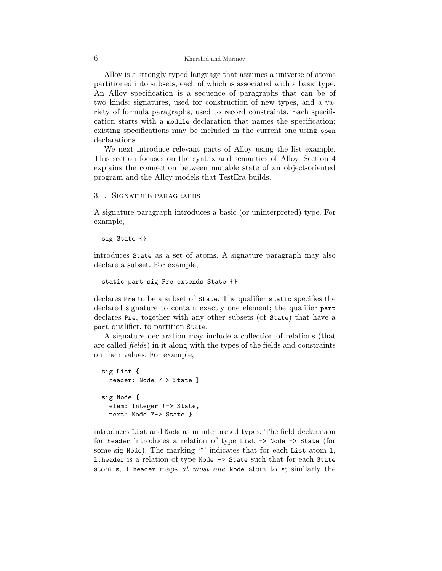Alloy is a strongly typed language that assumes a universe of atoms partitioned into subsets, each of which is associated with a basic type. An Alloy specification is a sequence of paragraphs that can be of two kinds: signatures, used for construction of new types, and a variety of formula paragraphs, used to record constraints. Each specification starts with a module declaration that names the specification; existing specifications may be included in the current one using open declarations.

We next introduce relevant parts of Alloy using the list example. This section focuses on the syntax and semantics of Alloy. Section 4 explains the connection between mutable state of an object-oriented program and the Alloy models that TestEra builds.

#### 3.1. Signature paragraphs

A signature paragraph introduces a basic (or uninterpreted) type. For example,

```
sig State {}
```
introduces State as a set of atoms. A signature paragraph may also declare a subset. For example,

```
static part sig Pre extends State {}
```
declares Pre to be a subset of State. The qualifier static specifies the declared signature to contain exactly one element; the qualifier part declares Pre, together with any other subsets (of State) that have a part qualifier, to partition State.

A signature declaration may include a collection of relations (that are called fields) in it along with the types of the fields and constraints on their values. For example,

```
sig List {
 header: Node ?-> State }
sig Node {
 elem: Integer !-> State,
  next: Node ?-> State }
```
introduces List and Node as uninterpreted types. The field declaration for header introduces a relation of type List -> Node -> State (for some sig Node). The marking '?' indicates that for each List atom 1, l.header is a relation of type Node -> State such that for each State atom s, l.header maps at most one Node atom to s; similarly the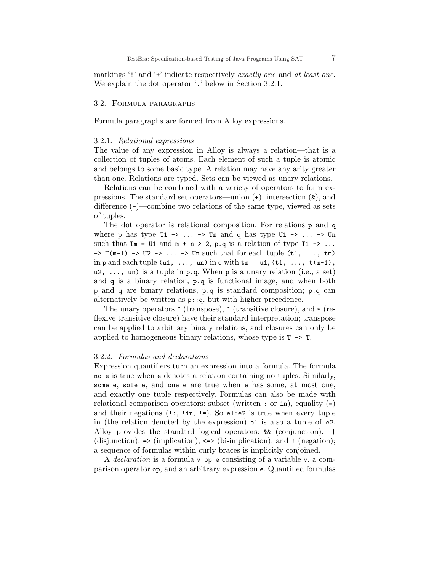markings '!' and '+' indicate respectively exactly one and at least one. We explain the dot operator '.' below in Section 3.2.1.

# 3.2. Formula paragraphs

Formula paragraphs are formed from Alloy expressions.

#### 3.2.1. Relational expressions

The value of any expression in Alloy is always a relation—that is a collection of tuples of atoms. Each element of such a tuple is atomic and belongs to some basic type. A relation may have any arity greater than one. Relations are typed. Sets can be viewed as unary relations.

Relations can be combined with a variety of operators to form expressions. The standard set operators—union (+), intersection (&), and difference (-)—combine two relations of the same type, viewed as sets of tuples.

The dot operator is relational composition. For relations p and q where p has type  $T1 \rightarrow \ldots \rightarrow Tm$  and q has type  $U1 \rightarrow \ldots \rightarrow Un$ such that  $\texttt{Im} = \texttt{U1}$  and  $\texttt{m} + \texttt{n} > 2$ , p.q is a relation of type  $\texttt{T1} \rightarrow \dots$  $\rightarrow$  T(m-1)  $\rightarrow$  U2  $\rightarrow$  ...  $\rightarrow$  Un such that for each tuple (t1, ..., tm) in p and each tuple  $(u1, \ldots, un)$  in q with  $t = u1, (t1, \ldots, t(m-1))$ , u2, ..., un) is a tuple in p.q. When p is a unary relation (i.e., a set) and q is a binary relation, p.q is functional image, and when both p and q are binary relations, p.q is standard composition; p.q can alternatively be written as  $p:q$ , but with higher precedence.

The unary operators  $\tilde{\ }$  (transpose),  $\hat{\ }$  (transitive closure), and  $\ast$  (reflexive transitive closure) have their standard interpretation; transpose can be applied to arbitrary binary relations, and closures can only be applied to homogeneous binary relations, whose type is  $T \rightarrow T$ .

#### 3.2.2. Formulas and declarations

Expression quantifiers turn an expression into a formula. The formula no e is true when e denotes a relation containing no tuples. Similarly, some e, sole e, and one e are true when e has some, at most one, and exactly one tuple respectively. Formulas can also be made with relational comparison operators: subset (written : or in), equality (=) and their negations  $(!!; , !in, !=)$ . So e1:e2 is true when every tuple in (the relation denoted by the expression) e1 is also a tuple of e2. Alloy provides the standard logical operators: && (conjunction), || (disjunction),  $\Rightarrow$  (implication),  $\le$   $\ge$  (bi-implication), and ! (negation); a sequence of formulas within curly braces is implicitly conjoined.

A declaration is a formula v op e consisting of a variable v, a comparison operator op, and an arbitrary expression e. Quantified formulas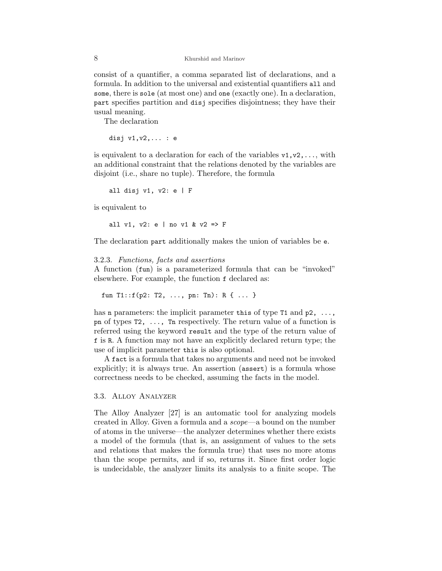consist of a quantifier, a comma separated list of declarations, and a formula. In addition to the universal and existential quantifiers all and some, there is sole (at most one) and one (exactly one). In a declaration, part specifies partition and disj specifies disjointness; they have their usual meaning.

The declaration

disj v1,v2,... : e

is equivalent to a declaration for each of the variables  $v_1, v_2, \ldots$ , with an additional constraint that the relations denoted by the variables are disjoint (i.e., share no tuple). Therefore, the formula

```
all disj v1, v2: e | F
```
is equivalent to

all v1, v2: e | no v1 & v2 => F

The declaration part additionally makes the union of variables be e.

3.2.3. Functions, facts and assertions

A function (fun) is a parameterized formula that can be "invoked" elsewhere. For example, the function f declared as:

fun T1::f(p2: T2, ..., pn: Tn): R { ... }

has n parameters: the implicit parameter this of type  $T1$  and  $p2$ , ..., pn of types T2, ..., Tn respectively. The return value of a function is referred using the keyword result and the type of the return value of f is R. A function may not have an explicitly declared return type; the use of implicit parameter this is also optional.

A fact is a formula that takes no arguments and need not be invoked explicitly; it is always true. An assertion (assert) is a formula whose correctness needs to be checked, assuming the facts in the model.

# 3.3. Alloy Analyzer

The Alloy Analyzer [27] is an automatic tool for analyzing models created in Alloy. Given a formula and a scope—a bound on the number of atoms in the universe—the analyzer determines whether there exists a model of the formula (that is, an assignment of values to the sets and relations that makes the formula true) that uses no more atoms than the scope permits, and if so, returns it. Since first order logic is undecidable, the analyzer limits its analysis to a finite scope. The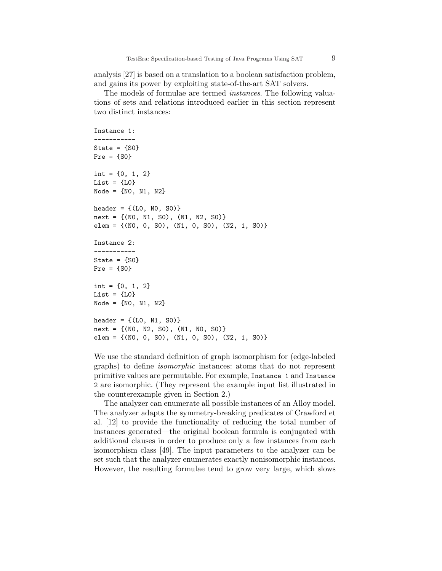analysis [27] is based on a translation to a boolean satisfaction problem, and gains its power by exploiting state-of-the-art SAT solvers.

The models of formulae are termed instances. The following valuations of sets and relations introduced earlier in this section represent two distinct instances:

```
Instance 1:
-----------
State = {S0}Pre = \{S0\}int = \{0, 1, 2\}List = {L0}Node = {N0, N1, N2}
header = \{(L0, N0, S0)\}next = {(N0, N1, S0), (N1, N2, S0)}
elem = \{(NO, 0, SO), (N1, 0, SO), (N2, 1, SO)\}Instance 2:
-----------
State = {S0}Pre = {SO}int = \{0, 1, 2\}List = {LD}Node = {N0, N1, N2}
header = \{(L0, N1, S0)\}next = \{ (NO, N2, SO), (N1, NO, SO) \}elem = \{(NO, 0, SO), (N1, 0, SO), (N2, 1, SO)\}
```
We use the standard definition of graph isomorphism for (edge-labeled graphs) to define isomorphic instances: atoms that do not represent primitive values are permutable. For example, Instance 1 and Instance 2 are isomorphic. (They represent the example input list illustrated in the counterexample given in Section 2.)

The analyzer can enumerate all possible instances of an Alloy model. The analyzer adapts the symmetry-breaking predicates of Crawford et al. [12] to provide the functionality of reducing the total number of instances generated—the original boolean formula is conjugated with additional clauses in order to produce only a few instances from each isomorphism class [49]. The input parameters to the analyzer can be set such that the analyzer enumerates exactly nonisomorphic instances. However, the resulting formulae tend to grow very large, which slows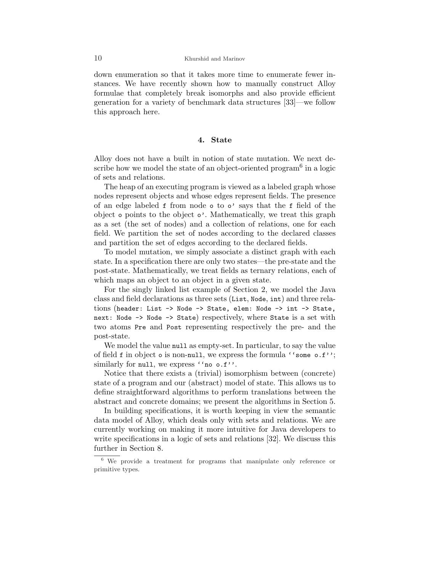down enumeration so that it takes more time to enumerate fewer instances. We have recently shown how to manually construct Alloy formulae that completely break isomorphs and also provide efficient generation for a variety of benchmark data structures [33]—we follow this approach here.

#### 4. State

Alloy does not have a built in notion of state mutation. We next describe how we model the state of an object-oriented program<sup>6</sup> in a logic of sets and relations.

The heap of an executing program is viewed as a labeled graph whose nodes represent objects and whose edges represent fields. The presence of an edge labeled f from node o to o' says that the f field of the object o points to the object  $\circ'$ . Mathematically, we treat this graph as a set (the set of nodes) and a collection of relations, one for each field. We partition the set of nodes according to the declared classes and partition the set of edges according to the declared fields.

To model mutation, we simply associate a distinct graph with each state. In a specification there are only two states—the pre-state and the post-state. Mathematically, we treat fields as ternary relations, each of which maps an object to an object in a given state.

For the singly linked list example of Section 2, we model the Java class and field declarations as three sets (List, Node, int) and three relations (header: List -> Node -> State, elem: Node -> int -> State, next: Node -> Node -> State) respectively, where State is a set with two atoms Pre and Post representing respectively the pre- and the post-state.

We model the value null as empty-set. In particular, to say the value of field f in object o is non-null, we express the formula ''some o.f''; similarly for null, we express ''no o.f''.

Notice that there exists a (trivial) isomorphism between (concrete) state of a program and our (abstract) model of state. This allows us to define straightforward algorithms to perform translations between the abstract and concrete domains; we present the algorithms in Section 5.

In building specifications, it is worth keeping in view the semantic data model of Alloy, which deals only with sets and relations. We are currently working on making it more intuitive for Java developers to write specifications in a logic of sets and relations [32]. We discuss this further in Section 8.

<sup>6</sup> We provide a treatment for programs that manipulate only reference or primitive types.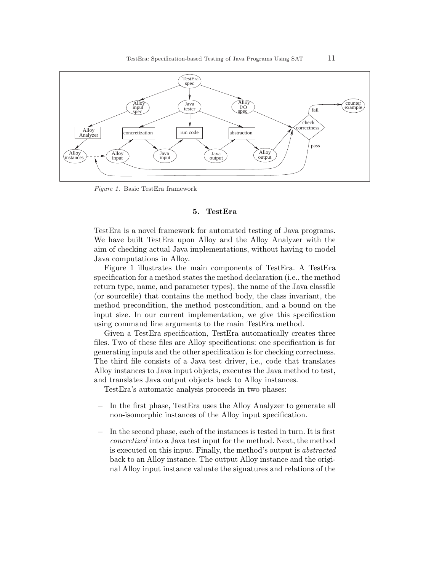

Figure 1. Basic TestEra framework

#### 5. TestEra

TestEra is a novel framework for automated testing of Java programs. We have built TestEra upon Alloy and the Alloy Analyzer with the aim of checking actual Java implementations, without having to model Java computations in Alloy.

Figure 1 illustrates the main components of TestEra. A TestEra specification for a method states the method declaration (i.e., the method return type, name, and parameter types), the name of the Java classfile (or sourcefile) that contains the method body, the class invariant, the method precondition, the method postcondition, and a bound on the input size. In our current implementation, we give this specification using command line arguments to the main TestEra method.

Given a TestEra specification, TestEra automatically creates three files. Two of these files are Alloy specifications: one specification is for generating inputs and the other specification is for checking correctness. The third file consists of a Java test driver, i.e., code that translates Alloy instances to Java input objects, executes the Java method to test, and translates Java output objects back to Alloy instances.

TestEra's automatic analysis proceeds in two phases:

- − In the first phase, TestEra uses the Alloy Analyzer to generate all non-isomorphic instances of the Alloy input specification.
- In the second phase, each of the instances is tested in turn. It is first concretized into a Java test input for the method. Next, the method is executed on this input. Finally, the method's output is abstracted back to an Alloy instance. The output Alloy instance and the original Alloy input instance valuate the signatures and relations of the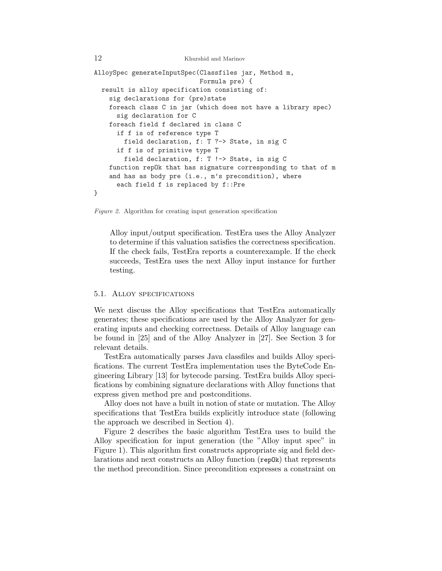```
12 Khurshid and Marinov
```

```
AlloySpec generateInputSpec(Classfiles jar, Method m,
                            Formula pre) {
 result is alloy specification consisting of:
    sig declarations for (pre)state
   foreach class C in jar (which does not have a library spec)
      sig declaration for C
   foreach field f declared in class C
      if f is of reference type T
        field declaration, f: T ?-> State, in sig C
      if f is of primitive type T
        field declaration, f: T !-> State, in sig C
    function repOk that has signature corresponding to that of m
    and has as body pre (i.e., m's precondition), where
      each field f is replaced by f:: Pre
}
```
Figure 2. Algorithm for creating input generation specification

Alloy input/output specification. TestEra uses the Alloy Analyzer to determine if this valuation satisfies the correctness specification. If the check fails, TestEra reports a counterexample. If the check succeeds, TestEra uses the next Alloy input instance for further testing.

# 5.1. Alloy specifications

We next discuss the Alloy specifications that TestEra automatically generates; these specifications are used by the Alloy Analyzer for generating inputs and checking correctness. Details of Alloy language can be found in [25] and of the Alloy Analyzer in [27]. See Section 3 for relevant details.

TestEra automatically parses Java classfiles and builds Alloy specifications. The current TestEra implementation uses the ByteCode Engineering Library [13] for bytecode parsing. TestEra builds Alloy specifications by combining signature declarations with Alloy functions that express given method pre and postconditions.

Alloy does not have a built in notion of state or mutation. The Alloy specifications that TestEra builds explicitly introduce state (following the approach we described in Section 4).

Figure 2 describes the basic algorithm TestEra uses to build the Alloy specification for input generation (the "Alloy input spec" in Figure 1). This algorithm first constructs appropriate sig and field declarations and next constructs an Alloy function (repOk) that represents the method precondition. Since precondition expresses a constraint on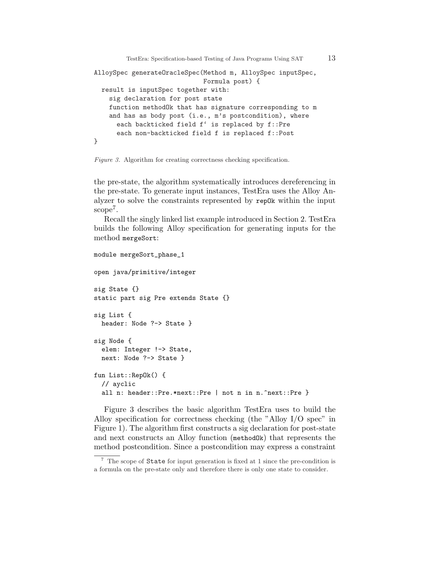```
AlloySpec generateOracleSpec(Method m, AlloySpec inputSpec,
                             Formula post) {
 result is inputSpec together with:
    sig declaration for post state
    function methodOk that has signature corresponding to m
   and has as body post (i.e., m's postcondition), where
     each backticked field f' is replaced by f:: Pre
      each non-backticked field f is replaced f::Post
}
```
Figure 3. Algorithm for creating correctness checking specification.

the pre-state, the algorithm systematically introduces dereferencing in the pre-state. To generate input instances, TestEra uses the Alloy Analyzer to solve the constraints represented by repOk within the input scope<sup>7</sup> .

Recall the singly linked list example introduced in Section 2. TestEra builds the following Alloy specification for generating inputs for the method mergeSort:

```
module mergeSort_phase_1
open java/primitive/integer
sig State {}
static part sig Pre extends State {}
sig List {
 header: Node ?-> State }
sig Node {
  elem: Integer !-> State,
 next: Node ?-> State }
fun List::RepOk() {
  // ayclic
  all n: header::Pre.*next::Pre | not n in n.^next::Pre }
```
Figure 3 describes the basic algorithm TestEra uses to build the Alloy specification for correctness checking (the "Alloy I/O spec" in Figure 1). The algorithm first constructs a sig declaration for post-state and next constructs an Alloy function (methodOk) that represents the method postcondition. Since a postcondition may express a constraint

 $7$  The scope of State for input generation is fixed at 1 since the pre-condition is a formula on the pre-state only and therefore there is only one state to consider.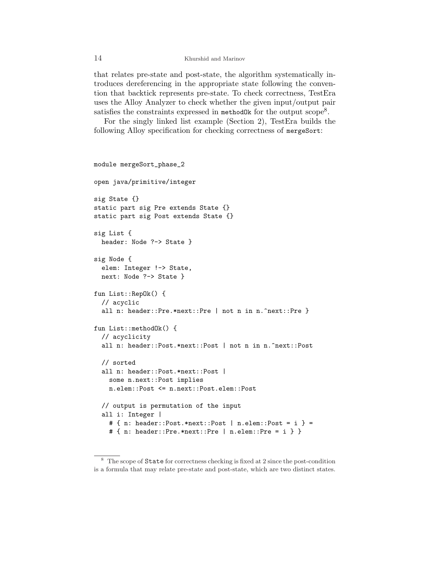that relates pre-state and post-state, the algorithm systematically introduces dereferencing in the appropriate state following the convention that backtick represents pre-state. To check correctness, TestEra uses the Alloy Analyzer to check whether the given input/output pair satisfies the constraints expressed in methodOk for the output scope<sup>8</sup>.

For the singly linked list example (Section 2), TestEra builds the following Alloy specification for checking correctness of mergeSort:

```
module mergeSort_phase_2
open java/primitive/integer
sig State {}
static part sig Pre extends State {}
static part sig Post extends State {}
sig List {
 header: Node ?-> State }
sig Node {
  elem: Integer !-> State,
 next: Node ?-> State }
fun List::RepOk() {
  // acyclic
  all n: header::Pre.*next::Pre | not n in n.^next::Pre }
fun List::methodOk() {
  // acyclicity
  all n: header::Post.*next::Post | not n in n.^next::Post
  // sorted
  all n: header::Post.*next::Post |
    some n.next::Post implies
   n.elem::Post <= n.next::Post.elem::Post
 // output is permutation of the input
  all i: Integer |
    # { n: header::Post.*next::Post | n.elem::Post = i } =
    # { n: header::Pre.*next::Pre | n.elem::Pre = i } }
```
<sup>8</sup> The scope of State for correctness checking is fixed at 2 since the post-condition is a formula that may relate pre-state and post-state, which are two distinct states.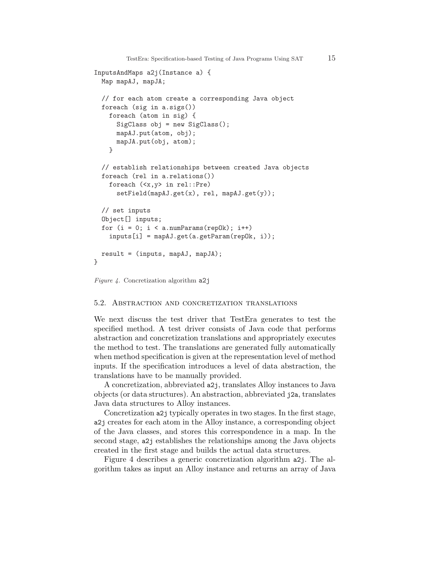```
InputsAndMaps a2j(Instance a) {
  Map mapAJ, mapJA;
 // for each atom create a corresponding Java object
 foreach (sig in a.sigs())
    foreach (atom in sig) {
      SigClass obj = new SigClass();
      mapAJ.put(atom, obj);
      mapJA.put(obj, atom);
    }
  // establish relationships between created Java objects
  foreach (rel in a.relations())
    foreach (<x,y> in rel::Pre)
      setField(mapAJ.get(x), rel, mapAJ.get(y));
  // set inputs
  Object[] inputs;
  for (i = 0; i < a.\text{numParams}(\text{rep0k}); i++)inputs[i] = mapAJ.get(a.getParam(rep0k, i));result = (inputs, mapAJ, mapJA);
}
```

```
Figure 4. Concretization algorithm a2j
```
#### 5.2. Abstraction and concretization translations

We next discuss the test driver that TestEra generates to test the specified method. A test driver consists of Java code that performs abstraction and concretization translations and appropriately executes the method to test. The translations are generated fully automatically when method specification is given at the representation level of method inputs. If the specification introduces a level of data abstraction, the translations have to be manually provided.

A concretization, abbreviated a2j, translates Alloy instances to Java objects (or data structures). An abstraction, abbreviated j2a, translates Java data structures to Alloy instances.

Concretization a2j typically operates in two stages. In the first stage, a2j creates for each atom in the Alloy instance, a corresponding object of the Java classes, and stores this correspondence in a map. In the second stage, a2j establishes the relationships among the Java objects created in the first stage and builds the actual data structures.

Figure 4 describes a generic concretization algorithm a2j. The algorithm takes as input an Alloy instance and returns an array of Java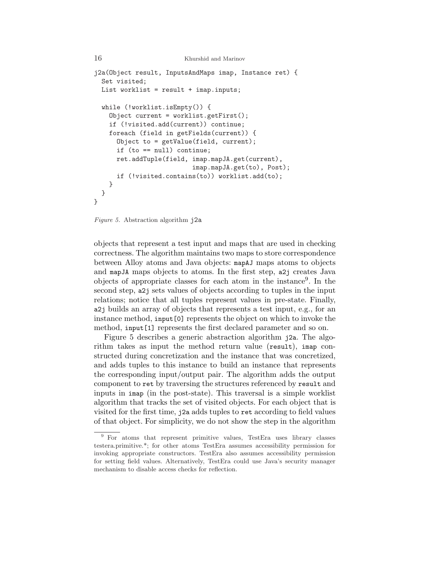```
16 Khurshid and Marinov
```

```
j2a(Object result, InputsAndMaps imap, Instance ret) {
  Set visited;
 List worklist = result + imp.inputs;
  while (!worklist.isEmpty()) {
    Object current = worklist.getFirst();
    if (!visited.add(current)) continue;
    foreach (field in getFields(current)) {
      Object to = getValue(field, current);
      if (to == null) continue;
      ret.addTuple(field, imap.mapJA.get(current),
                          imap.mapJA.get(to), Post);
      if (!visited.contains(to)) worklist.add(to);
   }
 }
}
```
Figure 5. Abstraction algorithm j2a

objects that represent a test input and maps that are used in checking correctness. The algorithm maintains two maps to store correspondence between Alloy atoms and Java objects: mapAJ maps atoms to objects and mapJA maps objects to atoms. In the first step, a2j creates Java objects of appropriate classes for each atom in the instance<sup>9</sup>. In the second step, a2j sets values of objects according to tuples in the input relations; notice that all tuples represent values in pre-state. Finally, a2j builds an array of objects that represents a test input, e.g., for an instance method, input[0] represents the object on which to invoke the method, input[1] represents the first declared parameter and so on.

Figure 5 describes a generic abstraction algorithm j2a. The algorithm takes as input the method return value (result), imap constructed during concretization and the instance that was concretized, and adds tuples to this instance to build an instance that represents the corresponding input/output pair. The algorithm adds the output component to ret by traversing the structures referenced by result and inputs in imap (in the post-state). This traversal is a simple worklist algorithm that tracks the set of visited objects. For each object that is visited for the first time, j2a adds tuples to ret according to field values of that object. For simplicity, we do not show the step in the algorithm

<sup>9</sup> For atoms that represent primitive values, TestEra uses library classes testera.primitive.\*; for other atoms TestEra assumes accessibility permission for invoking appropriate constructors. TestEra also assumes accessibility permission for setting field values. Alternatively, TestEra could use Java's security manager mechanism to disable access checks for reflection.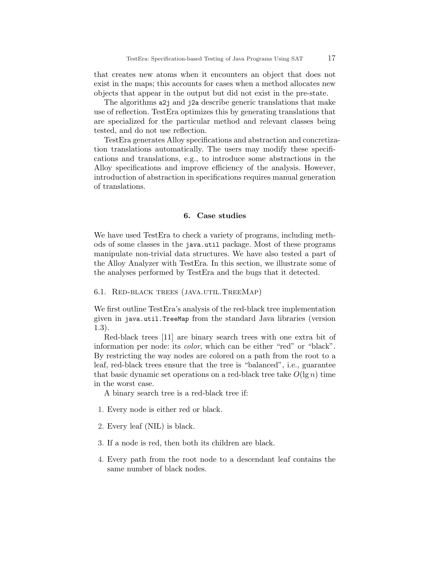that creates new atoms when it encounters an object that does not exist in the maps; this accounts for cases when a method allocates new objects that appear in the output but did not exist in the pre-state.

The algorithms a2j and j2a describe generic translations that make use of reflection. TestEra optimizes this by generating translations that are specialized for the particular method and relevant classes being tested, and do not use reflection.

TestEra generates Alloy specifications and abstraction and concretization translations automatically. The users may modify these specifications and translations, e.g., to introduce some abstractions in the Alloy specifications and improve efficiency of the analysis. However, introduction of abstraction in specifications requires manual generation of translations.

## 6. Case studies

We have used TestEra to check a variety of programs, including methods of some classes in the java.util package. Most of these programs manipulate non-trivial data structures. We have also tested a part of the Alloy Analyzer with TestEra. In this section, we illustrate some of the analyses performed by TestEra and the bugs that it detected.

## 6.1. Red-black trees (java.util.TreeMap)

We first outline TestEra's analysis of the red-black tree implementation given in java.util.TreeMap from the standard Java libraries (version 1.3).

Red-black trees [11] are binary search trees with one extra bit of information per node: its color, which can be either "red" or "black". By restricting the way nodes are colored on a path from the root to a leaf, red-black trees ensure that the tree is "balanced", i.e., guarantee that basic dynamic set operations on a red-black tree take  $O(\lg n)$  time in the worst case.

A binary search tree is a red-black tree if:

- 1. Every node is either red or black.
- 2. Every leaf (NIL) is black.
- 3. If a node is red, then both its children are black.
- 4. Every path from the root node to a descendant leaf contains the same number of black nodes.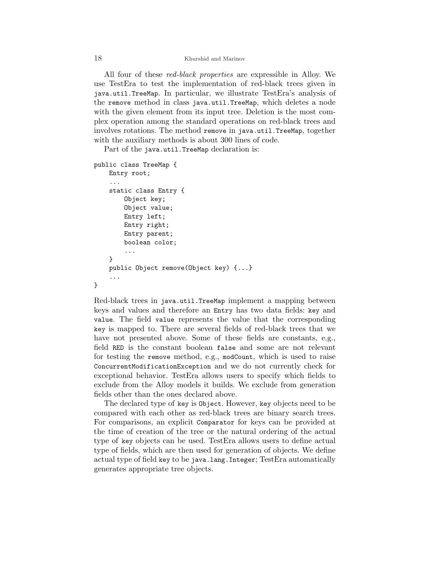All four of these red-black properties are expressible in Alloy. We use TestEra to test the implementation of red-black trees given in java.util.TreeMap. In particular, we illustrate TestEra's analysis of the remove method in class java.util.TreeMap, which deletes a node with the given element from its input tree. Deletion is the most complex operation among the standard operations on red-black trees and involves rotations. The method remove in java.util.TreeMap, together with the auxiliary methods is about 300 lines of code.

Part of the java.util.TreeMap declaration is:

```
public class TreeMap {
    Entry root;
    ...
    static class Entry {
        Object key;
        Object value;
        Entry left;
        Entry right;
        Entry parent;
        boolean color;
        ...
    }
    public Object remove(Object key) {...}
    ...
}
```
Red-black trees in java.util.TreeMap implement a mapping between keys and values and therefore an Entry has two data fields: key and value. The field value represents the value that the corresponding key is mapped to. There are several fields of red-black trees that we have not presented above. Some of these fields are constants, e.g., field RED is the constant boolean false and some are not relevant for testing the remove method, e.g., modCount, which is used to raise ConcurrentModificationException and we do not currently check for exceptional behavior. TestEra allows users to specify which fields to exclude from the Alloy models it builds. We exclude from generation fields other than the ones declared above.

The declared type of key is Object. However, key objects need to be compared with each other as red-black trees are binary search trees. For comparisons, an explicit Comparator for keys can be provided at the time of creation of the tree or the natural ordering of the actual type of key objects can be used. TestEra allows users to define actual type of fields, which are then used for generation of objects. We define actual type of field key to be java.lang.Integer; TestEra automatically generates appropriate tree objects.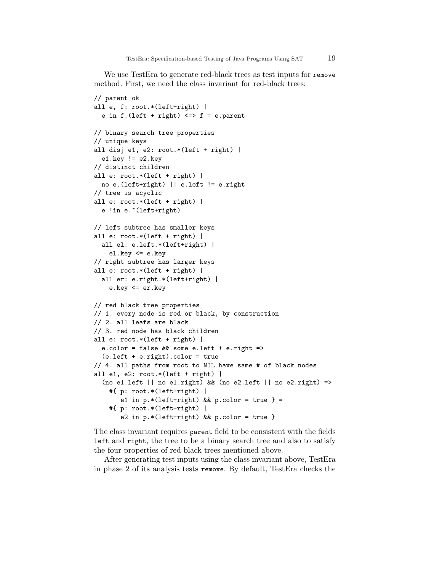We use TestEra to generate red-black trees as test inputs for remove method. First, we need the class invariant for red-black trees:

```
// parent ok
all e, f: root.*(left+right) |
  e in f. (left + right) \le > f = e.parent
// binary search tree properties
// unique keys
all disj e1, e2: root.*(left + right) |
 e1.key != e2.key// distinct children
all e: root.*(left + right) |
 no e.(left+right) || e.left != e.right
// tree is acyclic
all e: root.*(left + right) |
  e !in e.^(left+right)
// left subtree has smaller keys
all e: root.*(left + right) |
 all el: e.left.*(left+right) |
   el.key <= e.key
// right subtree has larger keys
all e: root.*(left + right) |
 all er: e.right.*(left+right) |
   e.key <= er.key
// red black tree properties
// 1. every node is red or black, by construction
// 2. all leafs are black
// 3. red node has black children
all e: root.*(left + right) |
  e.color = false & some e.left + e.right =>
  (e.left + e.right).color = true
// 4. all paths from root to NIL have same # of black nodes
all e1, e2: root.*(left + right) |
  (no e1.left || no e1.right) && (no e2.left || no e2.right) =>
   #{ p: root.*(left+right) |
       e1 in p.*(left+right) && p.color = true } =
    #{ p: root.*(left+right) |
       e2 in p.*(left+right) && p.color = true }
```
The class invariant requires parent field to be consistent with the fields left and right, the tree to be a binary search tree and also to satisfy the four properties of red-black trees mentioned above.

After generating test inputs using the class invariant above, TestEra in phase 2 of its analysis tests remove. By default, TestEra checks the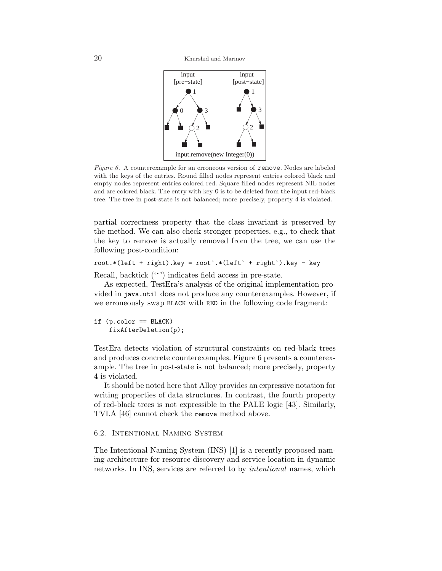

Figure 6. A counterexample for an erroneous version of **remove**. Nodes are labeled with the keys of the entries. Round filled nodes represent entries colored black and empty nodes represent entries colored red. Square filled nodes represent NIL nodes and are colored black. The entry with key 0 is to be deleted from the input red-black tree. The tree in post-state is not balanced; more precisely, property 4 is violated.

partial correctness property that the class invariant is preserved by the method. We can also check stronger properties, e.g., to check that the key to remove is actually removed from the tree, we can use the following post-condition:

```
root.*(left + right).key = root`.*(left` + right`).key - key
```
Recall, backtick ('`') indicates field access in pre-state.

As expected, TestEra's analysis of the original implementation provided in java.util does not produce any counterexamples. However, if we erroneously swap BLACK with RED in the following code fragment:

```
if (p.color == BLACK)
   fixAfterDeletion(p);
```
TestEra detects violation of structural constraints on red-black trees and produces concrete counterexamples. Figure 6 presents a counterexample. The tree in post-state is not balanced; more precisely, property 4 is violated.

It should be noted here that Alloy provides an expressive notation for writing properties of data structures. In contrast, the fourth property of red-black trees is not expressible in the PALE logic [43]. Similarly, TVLA [46] cannot check the remove method above.

# 6.2. Intentional Naming System

The Intentional Naming System (INS) [1] is a recently proposed naming architecture for resource discovery and service location in dynamic networks. In INS, services are referred to by intentional names, which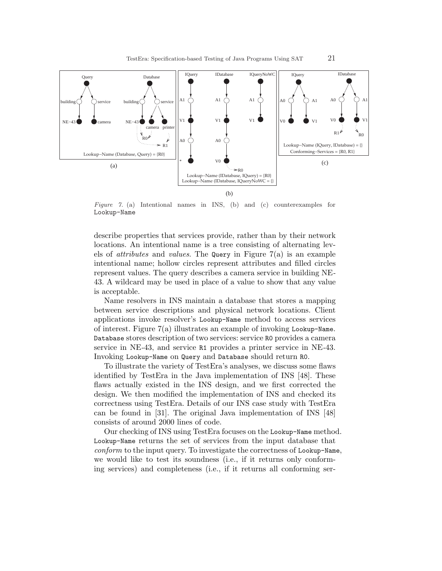

Figure 7. (a) Intentional names in INS, (b) and (c) counterexamples for Lookup-Name

describe properties that services provide, rather than by their network locations. An intentional name is a tree consisting of alternating levels of *attributes* and *values*. The Query in Figure  $7(a)$  is an example intentional name; hollow circles represent attributes and filled circles represent values. The query describes a camera service in building NE-43. A wildcard may be used in place of a value to show that any value is acceptable.

Name resolvers in INS maintain a database that stores a mapping between service descriptions and physical network locations. Client applications invoke resolver's Lookup-Name method to access services of interest. Figure 7(a) illustrates an example of invoking Lookup-Name. Database stores description of two services: service R0 provides a camera service in NE-43, and service R1 provides a printer service in NE-43. Invoking Lookup-Name on Query and Database should return R0.

To illustrate the variety of TestEra's analyses, we discuss some flaws identified by TestEra in the Java implementation of INS [48]. These flaws actually existed in the INS design, and we first corrected the design. We then modified the implementation of INS and checked its correctness using TestEra. Details of our INS case study with TestEra can be found in [31]. The original Java implementation of INS [48] consists of around 2000 lines of code.

Our checking of INS using TestEra focuses on the Lookup-Name method. Lookup-Name returns the set of services from the input database that conform to the input query. To investigate the correctness of Lookup-Name, we would like to test its soundness (i.e., if it returns only conforming services) and completeness (i.e., if it returns all conforming ser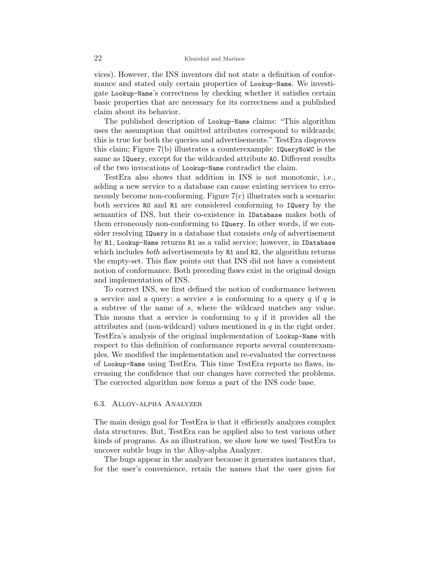vices). However, the INS inventors did not state a definition of conformance and stated only certain properties of Lookup-Name. We investigate Lookup-Name's correctness by checking whether it satisfies certain basic properties that are necessary for its correctness and a published claim about its behavior.

The published description of Lookup-Name claims: "This algorithm uses the assumption that omitted attributes correspond to wildcards; this is true for both the queries and advertisements." TestEra disproves this claim; Figure 7(b) illustrates a counterexample: IQueryNoWC is the same as IQuery, except for the wildcarded attribute A0. Different results of the two invocations of Lookup-Name contradict the claim.

TestEra also shows that addition in INS is not monotonic, i.e., adding a new service to a database can cause existing services to erroneously become non-conforming. Figure 7(c) illustrates such a scenario: both services R0 and R1 are considered conforming to IQuery by the semantics of INS, but their co-existence in IDatabase makes both of them erroneously non-conforming to IQuery. In other words, if we consider resolving IQuery in a database that consists only of advertisement by R1, Lookup-Name returns R1 as a valid service; however, in IDatabase which includes *both* advertisements by R1 and R2, the algorithm returns the empty-set. This flaw points out that INS did not have a consistent notion of conformance. Both preceding flaws exist in the original design and implementation of INS.

To correct INS, we first defined the notion of conformance between a service and a query: a service s is conforming to a query  $q$  if  $q$  is a subtree of the name of s, where the wildcard matches any value. This means that a service is conforming to  $q$  if it provides all the attributes and (non-wildcard) values mentioned in  $q$  in the right order. TestEra's analysis of the original implementation of Lookup-Name with respect to this definition of conformance reports several counterexamples. We modified the implementation and re-evaluated the correctness of Lookup-Name using TestEra. This time TestEra reports no flaws, increasing the confidence that our changes have corrected the problems. The corrected algorithm now forms a part of the INS code base.

# 6.3. Alloy-alpha Analyzer

The main design goal for TestEra is that it efficiently analyzes complex data structures. But, TestEra can be applied also to test various other kinds of programs. As an illustration, we show how we used TestEra to uncover subtle bugs in the Alloy-alpha Analyzer.

The bugs appear in the analyzer because it generates instances that, for the user's convenience, retain the names that the user gives for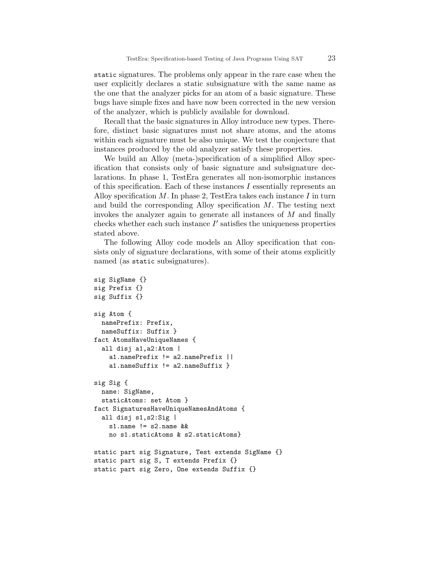static signatures. The problems only appear in the rare case when the user explicitly declares a static subsignature with the same name as the one that the analyzer picks for an atom of a basic signature. These bugs have simple fixes and have now been corrected in the new version of the analyzer, which is publicly available for download.

Recall that the basic signatures in Alloy introduce new types. Therefore, distinct basic signatures must not share atoms, and the atoms within each signature must be also unique. We test the conjecture that instances produced by the old analyzer satisfy these properties.

We build an Alloy (meta-)specification of a simplified Alloy specification that consists only of basic signature and subsignature declarations. In phase 1, TestEra generates all non-isomorphic instances of this specification. Each of these instances  $I$  essentially represents an Alloy specification M. In phase 2, TestEra takes each instance I in turn and build the corresponding Alloy specification M. The testing next invokes the analyzer again to generate all instances of M and finally checks whether each such instance  $I'$  satisfies the uniqueness properties stated above.

The following Alloy code models an Alloy specification that consists only of signature declarations, with some of their atoms explicitly named (as static subsignatures).

```
sig SigName {}
sig Prefix {}
sig Suffix {}
sig Atom {
 namePrefix: Prefix,
  nameSuffix: Suffix }
fact AtomsHaveUniqueNames {
  all disj a1,a2:Atom |
    a1.namePrefix != a2.namePrefix ||
    a1.nameSuffix != a2.nameSuffix }
sig Sig {
 name: SigName,
  staticAtoms: set Atom }
fact SignaturesHaveUniqueNamesAndAtoms {
  all disj s1,s2:Sig |
    s1.name != s2.nameno s1.staticAtoms & s2.staticAtoms}
static part sig Signature, Test extends SigName {}
static part sig S, T extends Prefix {}
static part sig Zero, One extends Suffix {}
```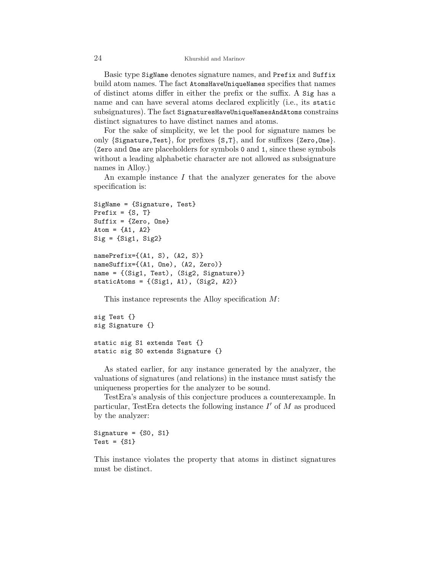Basic type SigName denotes signature names, and Prefix and Suffix build atom names. The fact AtomsHaveUniqueNames specifies that names of distinct atoms differ in either the prefix or the suffix. A Sig has a name and can have several atoms declared explicitly (i.e., its static subsignatures). The fact SignaturesHaveUniqueNamesAndAtoms constrains distinct signatures to have distinct names and atoms.

For the sake of simplicity, we let the pool for signature names be only  $\{\text{Signature}, \text{Test}\},$  for prefixes  $\{S, T\},$  and for suffixes  $\{\text{Zero}, \text{One}\}.$ (Zero and One are placeholders for symbols 0 and 1, since these symbols without a leading alphabetic character are not allowed as subsignature names in Alloy.)

An example instance I that the analyzer generates for the above specification is:

```
SigName = {Signature, Test}
Prefix = {S, T}Suffix = {Zero, One}
Atom = {A1, A2}Sig = {Sig1, Sig2}namePrefix={(A1, S), (A2, S)}nameSuffix={(A1, One), (A2, Zero)}
name = {(Sig1, Test), (Sig2, Signature)}
staticAtoms = \{(Sig1, A1), (Sig2, A2)\}
```
This instance represents the Alloy specification M:

```
sig Test {}
sig Signature {}
static sig S1 extends Test {}
static sig S0 extends Signature {}
```
As stated earlier, for any instance generated by the analyzer, the valuations of signatures (and relations) in the instance must satisfy the uniqueness properties for the analyzer to be sound.

TestEra's analysis of this conjecture produces a counterexample. In particular, TestEra detects the following instance  $I'$  of  $M$  as produced by the analyzer:

Signature =  $\{S0, S1\}$ Test =  ${S1}$ 

This instance violates the property that atoms in distinct signatures must be distinct.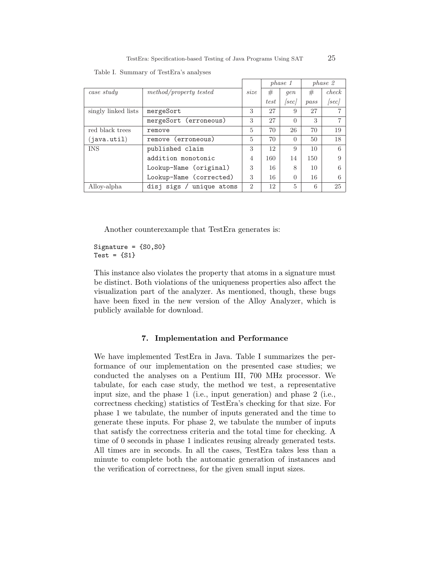|                     |                             |                | phase 1 |          | phase 2 |                |
|---------------------|-----------------------------|----------------|---------|----------|---------|----------------|
| case study          | method/property tested      | size           | #       | qen      | #       | check          |
|                     |                             |                | test    | sec      | pass    | sec            |
| singly linked lists | mergeSort                   | 3              | 27      | 9        | 27      | 7              |
|                     | mergeSort (erroneous)       | 3              | 27      | $\Omega$ | 3       | $\overline{7}$ |
| red black trees     | remove                      | 5              | 70      | 26       | 70      | 19             |
| (iava.util)         | remove (erroneous)          | 5              | 70      | $\Omega$ | 50      | 18             |
| <b>INS</b>          | published claim             | 3              | 12      | 9        | 10      | 6              |
|                     | addition monotonic          | $\overline{4}$ | 160     | 14       | 150     | 9              |
|                     | Lookup-Name (original)      | 3              | 16      | 8        | 10      | 6              |
|                     | Lookup-Name (corrected)     | 3              | 16      | $\Omega$ | 16      | 6              |
| Alloy-alpha         | unique atoms<br>disj sigs / | $\overline{2}$ | 12      | 5        | 6       | 25             |

Table I. Summary of TestEra's analyses

Another counterexample that TestEra generates is:

Signature =  ${SO, SO}$ Test =  ${S1}$ 

This instance also violates the property that atoms in a signature must be distinct. Both violations of the uniqueness properties also affect the visualization part of the analyzer. As mentioned, though, these bugs have been fixed in the new version of the Alloy Analyzer, which is publicly available for download.

## 7. Implementation and Performance

We have implemented TestEra in Java. Table I summarizes the performance of our implementation on the presented case studies; we conducted the analyses on a Pentium III, 700 MHz processor. We tabulate, for each case study, the method we test, a representative input size, and the phase 1 (i.e., input generation) and phase 2 (i.e., correctness checking) statistics of TestEra's checking for that size. For phase 1 we tabulate, the number of inputs generated and the time to generate these inputs. For phase 2, we tabulate the number of inputs that satisfy the correctness criteria and the total time for checking. A time of 0 seconds in phase 1 indicates reusing already generated tests. All times are in seconds. In all the cases, TestEra takes less than a minute to complete both the automatic generation of instances and the verification of correctness, for the given small input sizes.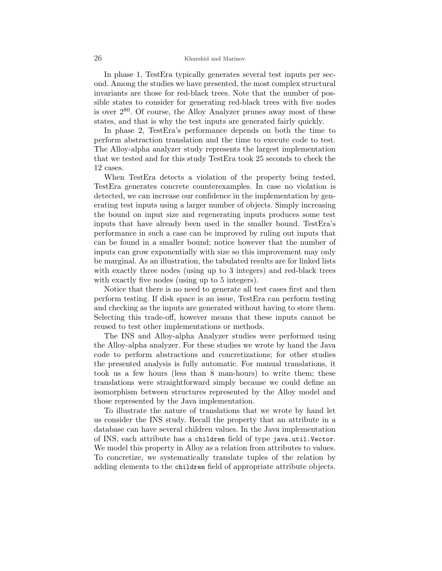In phase 1, TestEra typically generates several test inputs per second. Among the studies we have presented, the most complex structural invariants are those for red-black trees. Note that the number of possible states to consider for generating red-black trees with five nodes is over  $2^{80}$ . Of course, the Alloy Analyzer prunes away most of these states, and that is why the test inputs are generated fairly quickly.

In phase 2, TestEra's performance depends on both the time to perform abstraction translation and the time to execute code to test. The Alloy-alpha analyzer study represents the largest implementation that we tested and for this study TestEra took 25 seconds to check the 12 cases.

When TestEra detects a violation of the property being tested, TestEra generates concrete counterexamples. In case no violation is detected, we can increase our confidence in the implementation by generating test inputs using a larger number of objects. Simply increasing the bound on input size and regenerating inputs produces some test inputs that have already been used in the smaller bound. TestEra's performance in such a case can be improved by ruling out inputs that can be found in a smaller bound; notice however that the number of inputs can grow exponentially with size so this improvement may only be marginal. As an illustration, the tabulated results are for linked lists with exactly three nodes (using up to 3 integers) and red-black trees with exactly five nodes (using up to 5 integers).

Notice that there is no need to generate all test cases first and then perform testing. If disk space is an issue, TestEra can perform testing and checking as the inputs are generated without having to store them. Selecting this trade-off, however means that these inputs cannot be reused to test other implementations or methods.

The INS and Alloy-alpha Analyzer studies were performed using the Alloy-alpha analyzer. For these studies we wrote by hand the Java code to perform abstractions and concretizations; for other studies the presented analysis is fully automatic. For manual translations, it took us a few hours (less than 8 man-hours) to write them; these translations were straightforward simply because we could define an isomorphism between structures represented by the Alloy model and those represented by the Java implementation.

To illustrate the nature of translations that we wrote by hand let us consider the INS study. Recall the property that an attribute in a database can have several children values. In the Java implementation of INS, each attribute has a children field of type java.util.Vector. We model this property in Alloy as a relation from attributes to values. To concretize, we systematically translate tuples of the relation by adding elements to the children field of appropriate attribute objects.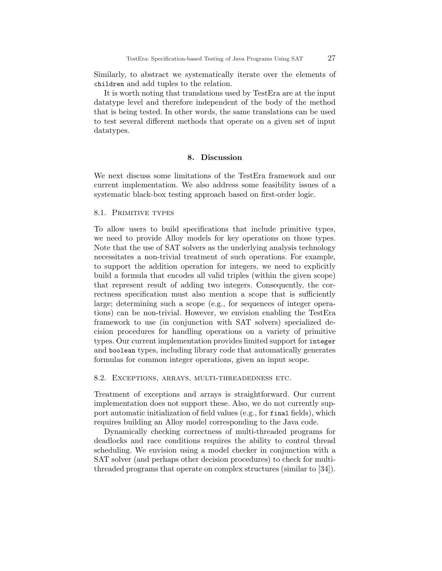Similarly, to abstract we systematically iterate over the elements of children and add tuples to the relation.

It is worth noting that translations used by TestEra are at the input datatype level and therefore independent of the body of the method that is being tested. In other words, the same translations can be used to test several different methods that operate on a given set of input datatypes.

#### 8. Discussion

We next discuss some limitations of the TestEra framework and our current implementation. We also address some feasibility issues of a systematic black-box testing approach based on first-order logic.

#### 8.1. PRIMITIVE TYPES

To allow users to build specifications that include primitive types, we need to provide Alloy models for key operations on those types. Note that the use of SAT solvers as the underlying analysis technology necessitates a non-trivial treatment of such operations. For example, to support the addition operation for integers, we need to explicitly build a formula that encodes all valid triples (within the given scope) that represent result of adding two integers. Consequently, the correctness specification must also mention a scope that is sufficiently large; determining such a scope (e.g., for sequences of integer operations) can be non-trivial. However, we envision enabling the TestEra framework to use (in conjunction with SAT solvers) specialized decision procedures for handling operations on a variety of primitive types. Our current implementation provides limited support for integer and boolean types, including library code that automatically generates formulas for common integer operations, given an input scope.

8.2. Exceptions, arrays, multi-threadedness etc.

Treatment of exceptions and arrays is straightforward. Our current implementation does not support these. Also, we do not currently support automatic initialization of field values (e.g., for final fields), which requires building an Alloy model corresponding to the Java code.

Dynamically checking correctness of multi-threaded programs for deadlocks and race conditions requires the ability to control thread scheduling. We envision using a model checker in conjunction with a SAT solver (and perhaps other decision procedures) to check for multithreaded programs that operate on complex structures (similar to [34]).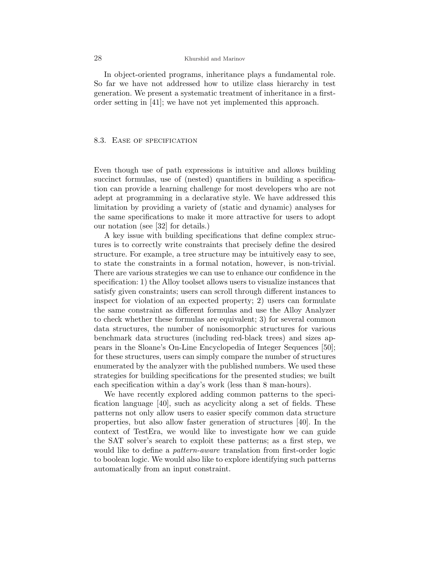In object-oriented programs, inheritance plays a fundamental role. So far we have not addressed how to utilize class hierarchy in test generation. We present a systematic treatment of inheritance in a firstorder setting in [41]; we have not yet implemented this approach.

#### 8.3. Ease of specification

Even though use of path expressions is intuitive and allows building succinct formulas, use of (nested) quantifiers in building a specification can provide a learning challenge for most developers who are not adept at programming in a declarative style. We have addressed this limitation by providing a variety of (static and dynamic) analyses for the same specifications to make it more attractive for users to adopt our notation (see [32] for details.)

A key issue with building specifications that define complex structures is to correctly write constraints that precisely define the desired structure. For example, a tree structure may be intuitively easy to see, to state the constraints in a formal notation, however, is non-trivial. There are various strategies we can use to enhance our confidence in the specification: 1) the Alloy toolset allows users to visualize instances that satisfy given constraints; users can scroll through different instances to inspect for violation of an expected property; 2) users can formulate the same constraint as different formulas and use the Alloy Analyzer to check whether these formulas are equivalent; 3) for several common data structures, the number of nonisomorphic structures for various benchmark data structures (including red-black trees) and sizes appears in the Sloane's On-Line Encyclopedia of Integer Sequences [50]; for these structures, users can simply compare the number of structures enumerated by the analyzer with the published numbers. We used these strategies for building specifications for the presented studies; we built each specification within a day's work (less than 8 man-hours).

We have recently explored adding common patterns to the specification language [40], such as acyclicity along a set of fields. These patterns not only allow users to easier specify common data structure properties, but also allow faster generation of structures [40]. In the context of TestEra, we would like to investigate how we can guide the SAT solver's search to exploit these patterns; as a first step, we would like to define a *pattern-aware* translation from first-order logic to boolean logic. We would also like to explore identifying such patterns automatically from an input constraint.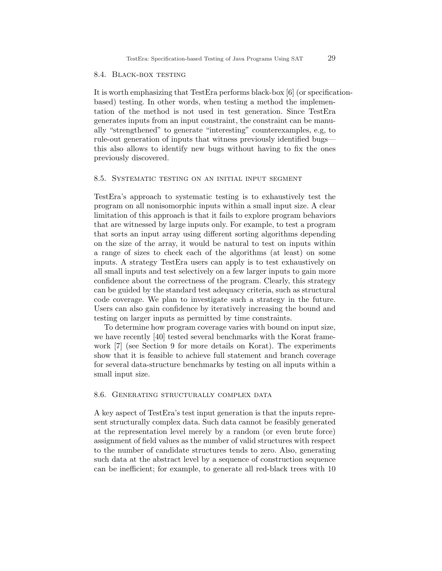#### 8.4. BLACK-BOX TESTING

It is worth emphasizing that TestEra performs black-box [6] (or specificationbased) testing. In other words, when testing a method the implementation of the method is not used in test generation. Since TestEra generates inputs from an input constraint, the constraint can be manually "strengthened" to generate "interesting" counterexamples, e.g, to rule-out generation of inputs that witness previously identified bugs this also allows to identify new bugs without having to fix the ones previously discovered.

#### 8.5. Systematic testing on an initial input segment

TestEra's approach to systematic testing is to exhaustively test the program on all nonisomorphic inputs within a small input size. A clear limitation of this approach is that it fails to explore program behaviors that are witnessed by large inputs only. For example, to test a program that sorts an input array using different sorting algorithms depending on the size of the array, it would be natural to test on inputs within a range of sizes to check each of the algorithms (at least) on some inputs. A strategy TestEra users can apply is to test exhaustively on all small inputs and test selectively on a few larger inputs to gain more confidence about the correctness of the program. Clearly, this strategy can be guided by the standard test adequacy criteria, such as structural code coverage. We plan to investigate such a strategy in the future. Users can also gain confidence by iteratively increasing the bound and testing on larger inputs as permitted by time constraints.

To determine how program coverage varies with bound on input size, we have recently [40] tested several benchmarks with the Korat framework [7] (see Section 9 for more details on Korat). The experiments show that it is feasible to achieve full statement and branch coverage for several data-structure benchmarks by testing on all inputs within a small input size.

# 8.6. Generating structurally complex data

A key aspect of TestEra's test input generation is that the inputs represent structurally complex data. Such data cannot be feasibly generated at the representation level merely by a random (or even brute force) assignment of field values as the number of valid structures with respect to the number of candidate structures tends to zero. Also, generating such data at the abstract level by a sequence of construction sequence can be inefficient; for example, to generate all red-black trees with 10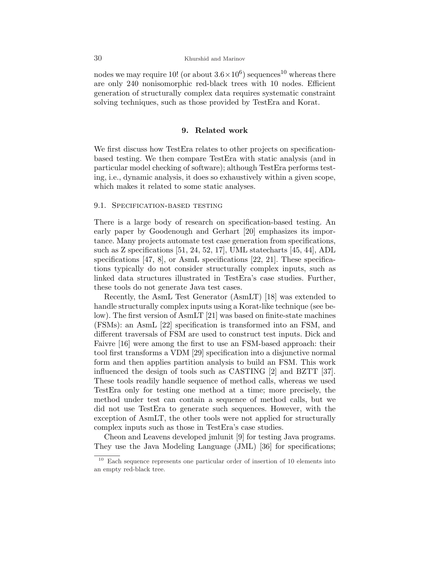nodes we may require 10! (or about  $3.6 \times 10^6$ ) sequences<sup>10</sup> whereas there are only 240 nonisomorphic red-black trees with 10 nodes. Efficient generation of structurally complex data requires systematic constraint solving techniques, such as those provided by TestEra and Korat.

## 9. Related work

We first discuss how TestEra relates to other projects on specificationbased testing. We then compare TestEra with static analysis (and in particular model checking of software); although TestEra performs testing, i.e., dynamic analysis, it does so exhaustively within a given scope, which makes it related to some static analyses.

### 9.1. SPECIFICATION-BASED TESTING

There is a large body of research on specification-based testing. An early paper by Goodenough and Gerhart [20] emphasizes its importance. Many projects automate test case generation from specifications, such as Z specifications [51, 24, 52, 17], UML statecharts [45, 44], ADL specifications [47, 8], or AsmL specifications [22, 21]. These specifications typically do not consider structurally complex inputs, such as linked data structures illustrated in TestEra's case studies. Further, these tools do not generate Java test cases.

Recently, the AsmL Test Generator (AsmLT) [18] was extended to handle structurally complex inputs using a Korat-like technique (see below). The first version of AsmLT [21] was based on finite-state machines (FSMs): an AsmL [22] specification is transformed into an FSM, and different traversals of FSM are used to construct test inputs. Dick and Faivre [16] were among the first to use an FSM-based approach: their tool first transforms a VDM [29] specification into a disjunctive normal form and then applies partition analysis to build an FSM. This work influenced the design of tools such as CASTING [2] and BZTT [37]. These tools readily handle sequence of method calls, whereas we used TestEra only for testing one method at a time; more precisely, the method under test can contain a sequence of method calls, but we did not use TestEra to generate such sequences. However, with the exception of AsmLT, the other tools were not applied for structurally complex inputs such as those in TestEra's case studies.

Cheon and Leavens developed jmlunit [9] for testing Java programs. They use the Java Modeling Language (JML) [36] for specifications;

 $10$  Each sequence represents one particular order of insertion of 10 elements into an empty red-black tree.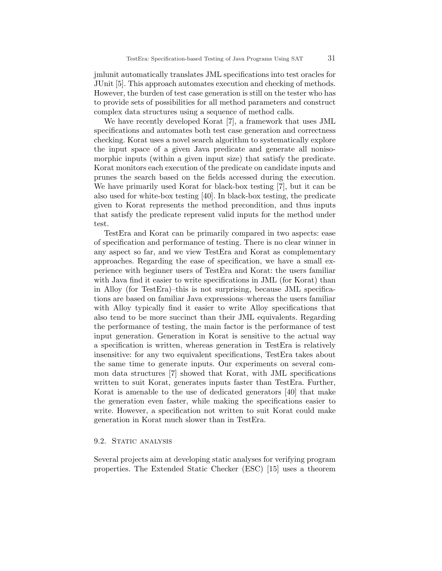jmlunit automatically translates JML specifications into test oracles for JUnit [5]. This approach automates execution and checking of methods. However, the burden of test case generation is still on the tester who has to provide sets of possibilities for all method parameters and construct complex data structures using a sequence of method calls.

We have recently developed Korat [7], a framework that uses JML specifications and automates both test case generation and correctness checking. Korat uses a novel search algorithm to systematically explore the input space of a given Java predicate and generate all nonisomorphic inputs (within a given input size) that satisfy the predicate. Korat monitors each execution of the predicate on candidate inputs and prunes the search based on the fields accessed during the execution. We have primarily used Korat for black-box testing [7], but it can be also used for white-box testing [40]. In black-box testing, the predicate given to Korat represents the method precondition, and thus inputs that satisfy the predicate represent valid inputs for the method under test.

TestEra and Korat can be primarily compared in two aspects: ease of specification and performance of testing. There is no clear winner in any aspect so far, and we view TestEra and Korat as complementary approaches. Regarding the ease of specification, we have a small experience with beginner users of TestEra and Korat: the users familiar with Java find it easier to write specifications in JML (for Korat) than in Alloy (for TestEra)–this is not surprising, because JML specifications are based on familiar Java expressions–whereas the users familiar with Alloy typically find it easier to write Alloy specifications that also tend to be more succinct than their JML equivalents. Regarding the performance of testing, the main factor is the performance of test input generation. Generation in Korat is sensitive to the actual way a specification is written, whereas generation in TestEra is relatively insensitive: for any two equivalent specifications, TestEra takes about the same time to generate inputs. Our experiments on several common data structures [7] showed that Korat, with JML specifications written to suit Korat, generates inputs faster than TestEra. Further, Korat is amenable to the use of dedicated generators [40] that make the generation even faster, while making the specifications easier to write. However, a specification not written to suit Korat could make generation in Korat much slower than in TestEra.

### 9.2. STATIC ANALYSIS

Several projects aim at developing static analyses for verifying program properties. The Extended Static Checker (ESC) [15] uses a theorem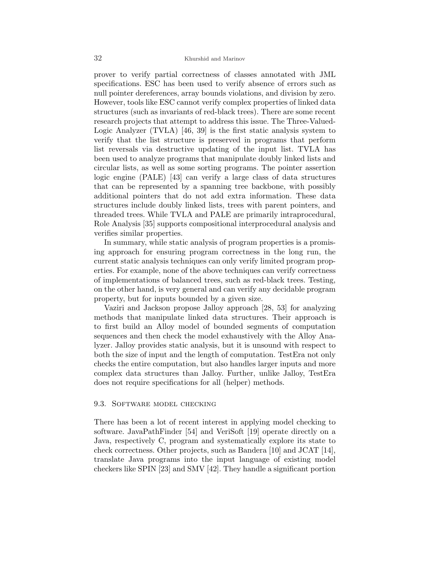prover to verify partial correctness of classes annotated with JML specifications. ESC has been used to verify absence of errors such as null pointer dereferences, array bounds violations, and division by zero. However, tools like ESC cannot verify complex properties of linked data structures (such as invariants of red-black trees). There are some recent research projects that attempt to address this issue. The Three-Valued-Logic Analyzer (TVLA) [46, 39] is the first static analysis system to verify that the list structure is preserved in programs that perform list reversals via destructive updating of the input list. TVLA has been used to analyze programs that manipulate doubly linked lists and circular lists, as well as some sorting programs. The pointer assertion logic engine (PALE) [43] can verify a large class of data structures that can be represented by a spanning tree backbone, with possibly additional pointers that do not add extra information. These data structures include doubly linked lists, trees with parent pointers, and threaded trees. While TVLA and PALE are primarily intraprocedural, Role Analysis [35] supports compositional interprocedural analysis and verifies similar properties.

In summary, while static analysis of program properties is a promising approach for ensuring program correctness in the long run, the current static analysis techniques can only verify limited program properties. For example, none of the above techniques can verify correctness of implementations of balanced trees, such as red-black trees. Testing, on the other hand, is very general and can verify any decidable program property, but for inputs bounded by a given size.

Vaziri and Jackson propose Jalloy approach [28, 53] for analyzing methods that manipulate linked data structures. Their approach is to first build an Alloy model of bounded segments of computation sequences and then check the model exhaustively with the Alloy Analyzer. Jalloy provides static analysis, but it is unsound with respect to both the size of input and the length of computation. TestEra not only checks the entire computation, but also handles larger inputs and more complex data structures than Jalloy. Further, unlike Jalloy, TestEra does not require specifications for all (helper) methods.

## 9.3. Software model checking

There has been a lot of recent interest in applying model checking to software. JavaPathFinder [54] and VeriSoft [19] operate directly on a Java, respectively C, program and systematically explore its state to check correctness. Other projects, such as Bandera [10] and JCAT [14], translate Java programs into the input language of existing model checkers like SPIN [23] and SMV [42]. They handle a significant portion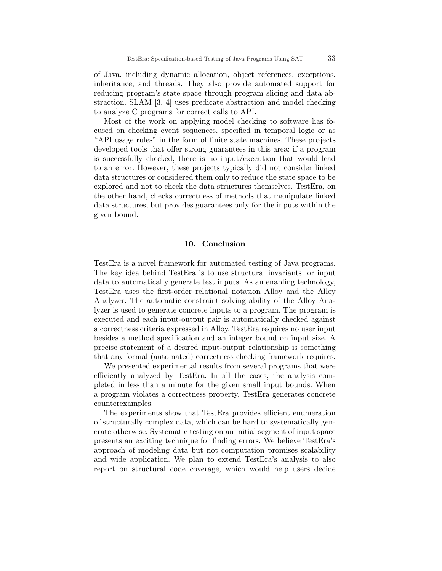of Java, including dynamic allocation, object references, exceptions, inheritance, and threads. They also provide automated support for reducing program's state space through program slicing and data abstraction. SLAM [3, 4] uses predicate abstraction and model checking to analyze C programs for correct calls to API.

Most of the work on applying model checking to software has focused on checking event sequences, specified in temporal logic or as "API usage rules" in the form of finite state machines. These projects developed tools that offer strong guarantees in this area: if a program is successfully checked, there is no input/execution that would lead to an error. However, these projects typically did not consider linked data structures or considered them only to reduce the state space to be explored and not to check the data structures themselves. TestEra, on the other hand, checks correctness of methods that manipulate linked data structures, but provides guarantees only for the inputs within the given bound.

## 10. Conclusion

TestEra is a novel framework for automated testing of Java programs. The key idea behind TestEra is to use structural invariants for input data to automatically generate test inputs. As an enabling technology, TestEra uses the first-order relational notation Alloy and the Alloy Analyzer. The automatic constraint solving ability of the Alloy Analyzer is used to generate concrete inputs to a program. The program is executed and each input-output pair is automatically checked against a correctness criteria expressed in Alloy. TestEra requires no user input besides a method specification and an integer bound on input size. A precise statement of a desired input-output relationship is something that any formal (automated) correctness checking framework requires.

We presented experimental results from several programs that were efficiently analyzed by TestEra. In all the cases, the analysis completed in less than a minute for the given small input bounds. When a program violates a correctness property, TestEra generates concrete counterexamples.

The experiments show that TestEra provides efficient enumeration of structurally complex data, which can be hard to systematically generate otherwise. Systematic testing on an initial segment of input space presents an exciting technique for finding errors. We believe TestEra's approach of modeling data but not computation promises scalability and wide application. We plan to extend TestEra's analysis to also report on structural code coverage, which would help users decide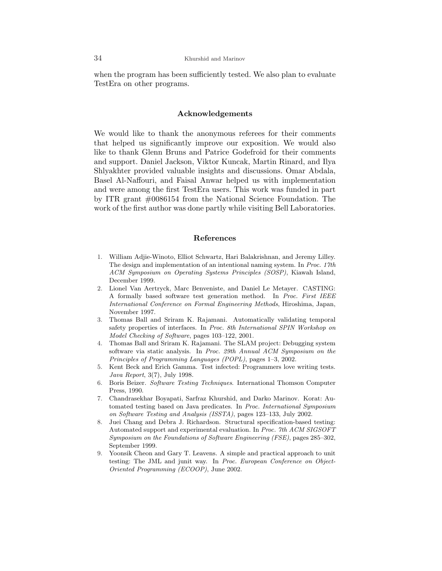when the program has been sufficiently tested. We also plan to evaluate TestEra on other programs.

#### Acknowledgements

We would like to thank the anonymous referees for their comments that helped us significantly improve our exposition. We would also like to thank Glenn Bruns and Patrice Godefroid for their comments and support. Daniel Jackson, Viktor Kuncak, Martin Rinard, and Ilya Shlyakhter provided valuable insights and discussions. Omar Abdala, Basel Al-Naffouri, and Faisal Anwar helped us with implementation and were among the first TestEra users. This work was funded in part by ITR grant #0086154 from the National Science Foundation. The work of the first author was done partly while visiting Bell Laboratories.

## References

- 1. William Adjie-Winoto, Elliot Schwartz, Hari Balakrishnan, and Jeremy Lilley. The design and implementation of an intentional naming system. In Proc. 17th ACM Symposium on Operating Systems Principles (SOSP), Kiawah Island, December 1999.
- 2. Lionel Van Aertryck, Marc Benveniste, and Daniel Le Metayer. CASTING: A formally based software test generation method. In Proc. First IEEE International Conference on Formal Engineering Methods, Hiroshima, Japan, November 1997.
- 3. Thomas Ball and Sriram K. Rajamani. Automatically validating temporal safety properties of interfaces. In Proc. 8th International SPIN Workshop on Model Checking of Software, pages 103–122, 2001.
- 4. Thomas Ball and Sriram K. Rajamani. The SLAM project: Debugging system software via static analysis. In Proc. 29th Annual ACM Symposium on the Principles of Programming Languages (POPL), pages 1–3, 2002.
- 5. Kent Beck and Erich Gamma. Test infected: Programmers love writing tests. Java Report, 3(7), July 1998.
- 6. Boris Beizer. Software Testing Techniques. International Thomson Computer Press, 1990.
- 7. Chandrasekhar Boyapati, Sarfraz Khurshid, and Darko Marinov. Korat: Automated testing based on Java predicates. In Proc. International Symposium on Software Testing and Analysis (ISSTA), pages 123–133, July 2002.
- 8. Juei Chang and Debra J. Richardson. Structural specification-based testing: Automated support and experimental evaluation. In Proc. 7th ACM SIGSOFT Symposium on the Foundations of Software Engineering (FSE), pages 285–302, September 1999.
- 9. Yoonsik Cheon and Gary T. Leavens. A simple and practical approach to unit testing: The JML and junit way. In Proc. European Conference on Object-Oriented Programming (ECOOP), June 2002.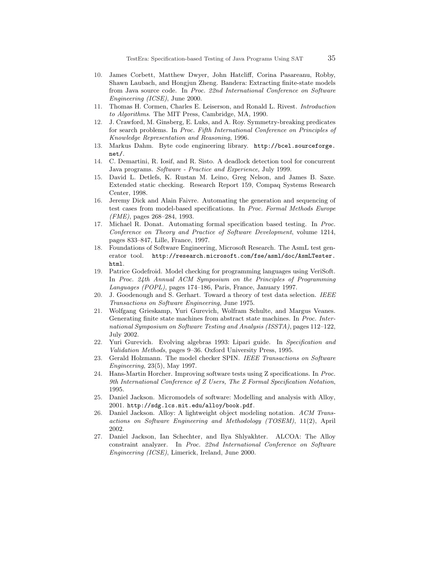- 10. James Corbett, Matthew Dwyer, John Hatcliff, Corina Pasareanu, Robby, Shawn Laubach, and Hongjun Zheng. Bandera: Extracting finite-state models from Java source code. In Proc. 22nd International Conference on Software Engineering (ICSE), June 2000.
- 11. Thomas H. Cormen, Charles E. Leiserson, and Ronald L. Rivest. Introduction to Algorithms. The MIT Press, Cambridge, MA, 1990.
- 12. J. Crawford, M. Ginsberg, E. Luks, and A. Roy. Symmetry-breaking predicates for search problems. In Proc. Fifth International Conference on Principles of Knowledge Representation and Reasoning, 1996.
- 13. Markus Dahm. Byte code engineering library. http://bcel.sourceforge. net/.
- 14. C. Demartini, R. Iosif, and R. Sisto. A deadlock detection tool for concurrent Java programs. Software - Practice and Experience, July 1999.
- 15. David L. Detlefs, K. Rustan M. Leino, Greg Nelson, and James B. Saxe. Extended static checking. Research Report 159, Compaq Systems Research Center, 1998.
- 16. Jeremy Dick and Alain Faivre. Automating the generation and sequencing of test cases from model-based specifications. In Proc. Formal Methods Europe (FME), pages 268–284, 1993.
- 17. Michael R. Donat. Automating formal specification based testing. In Proc. Conference on Theory and Practice of Software Development, volume 1214, pages 833–847, Lille, France, 1997.
- 18. Foundations of Software Engineering, Microsoft Research. The AsmL test generator tool. http://research.microsoft.com/fse/asml/doc/AsmLTester. html.
- 19. Patrice Godefroid. Model checking for programming languages using VeriSoft. In Proc. 24th Annual ACM Symposium on the Principles of Programming Languages (POPL), pages 174–186, Paris, France, January 1997.
- 20. J. Goodenough and S. Gerhart. Toward a theory of test data selection. IEEE Transactions on Software Engineering, June 1975.
- 21. Wolfgang Grieskamp, Yuri Gurevich, Wolfram Schulte, and Margus Veanes. Generating finite state machines from abstract state machines. In Proc. International Symposium on Software Testing and Analysis (ISSTA), pages 112–122, July 2002.
- 22. Yuri Gurevich. Evolving algebras 1993: Lipari guide. In Specification and Validation Methods, pages 9–36. Oxford University Press, 1995.
- 23. Gerald Holzmann. The model checker SPIN. IEEE Transactions on Software Engineering, 23(5), May 1997.
- 24. Hans-Martin Horcher. Improving software tests using Z specifications. In Proc. 9th International Conference of Z Users, The Z Formal Specification Notation, 1995.
- 25. Daniel Jackson. Micromodels of software: Modelling and analysis with Alloy, 2001. http://sdg.lcs.mit.edu/alloy/book.pdf.
- 26. Daniel Jackson. Alloy: A lightweight object modeling notation. ACM Transactions on Software Engineering and Methodology (TOSEM), 11(2), April 2002.
- 27. Daniel Jackson, Ian Schechter, and Ilya Shlyakhter. ALCOA: The Alloy constraint analyzer. In Proc. 22nd International Conference on Software Engineering (ICSE), Limerick, Ireland, June 2000.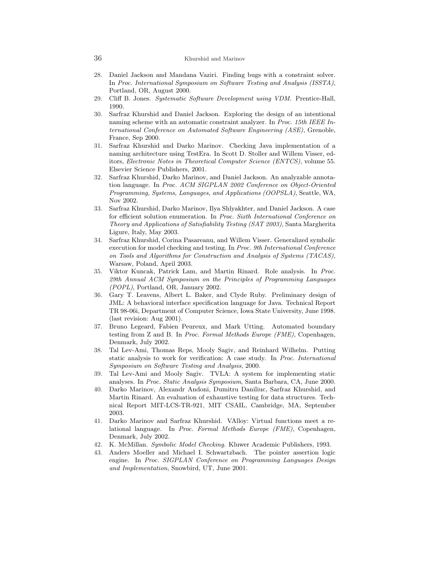- 28. Daniel Jackson and Mandana Vaziri. Finding bugs with a constraint solver. In Proc. International Symposium on Software Testing and Analysis (ISSTA), Portland, OR, August 2000.
- 29. Cliff B. Jones. Systematic Software Development using VDM. Prentice-Hall, 1990.
- 30. Sarfraz Khurshid and Daniel Jackson. Exploring the design of an intentional naming scheme with an automatic constraint analyzer. In Proc. 15th IEEE International Conference on Automated Software Engineering (ASE), Grenoble, France, Sep 2000.
- 31. Sarfraz Khurshid and Darko Marinov. Checking Java implementation of a naming architecture using TestEra. In Scott D. Stoller and Willem Visser, editors, Electronic Notes in Theoretical Computer Science (ENTCS), volume 55. Elsevier Science Publishers, 2001.
- 32. Sarfraz Khurshid, Darko Marinov, and Daniel Jackson. An analyzable annotation language. In Proc. ACM SIGPLAN 2002 Conference on Object-Oriented Programming, Systems, Languages, and Applications (OOPSLA), Seattle, WA, Nov 2002.
- 33. Sarfraz Khurshid, Darko Marinov, Ilya Shlyakhter, and Daniel Jackson. A case for efficient solution enumeration. In Proc. Sixth International Conference on Theory and Applications of Satisfiability Testing (SAT 2003), Santa Margherita Ligure, Italy, May 2003.
- 34. Sarfraz Khurshid, Corina Pasareanu, and Willem Visser. Generalized symbolic execution for model checking and testing. In Proc. 9th International Conference on Tools and Algorithms for Construction and Analysis of Systems (TACAS), Warsaw, Poland, April 2003.
- 35. Viktor Kuncak, Patrick Lam, and Martin Rinard. Role analysis. In Proc. 29th Annual ACM Symposium on the Principles of Programming Languages (POPL), Portland, OR, January 2002.
- 36. Gary T. Leavens, Albert L. Baker, and Clyde Ruby. Preliminary design of JML: A behavioral interface specification language for Java. Technical Report TR 98-06i, Department of Computer Science, Iowa State University, June 1998. (last revision: Aug 2001).
- 37. Bruno Legeard, Fabien Peureux, and Mark Utting. Automated boundary testing from Z and B. In Proc. Formal Methods Europe (FME), Copenhagen, Denmark, July 2002.
- 38. Tal Lev-Ami, Thomas Reps, Mooly Sagiv, and Reinhard Wilhelm. Putting static analysis to work for verification: A case study. In Proc. International Symposium on Software Testing and Analysis, 2000.
- 39. Tal Lev-Ami and Mooly Sagiv. TVLA: A system for implementing static analyses. In Proc. Static Analysis Symposium, Santa Barbara, CA, June 2000.
- 40. Darko Marinov, Alexandr Andoni, Dumitru Daniliuc, Sarfraz Khurshid, and Martin Rinard. An evaluation of exhaustive testing for data structures. Technical Report MIT-LCS-TR-921, MIT CSAIL, Cambridge, MA, September 2003.
- 41. Darko Marinov and Sarfraz Khurshid. VAlloy: Virtual functions meet a relational language. In Proc. Formal Methods Europe (FME), Copenhagen, Denmark, July 2002.
- 42. K. McMillan. Symbolic Model Checking. Kluwer Academic Publishers, 1993.
- 43. Anders Moeller and Michael I. Schwartzbach. The pointer assertion logic engine. In Proc. SIGPLAN Conference on Programming Languages Design and Implementation, Snowbird, UT, June 2001.